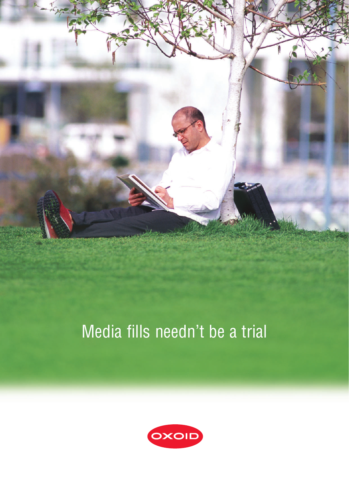

# Media fills needn't be a trial

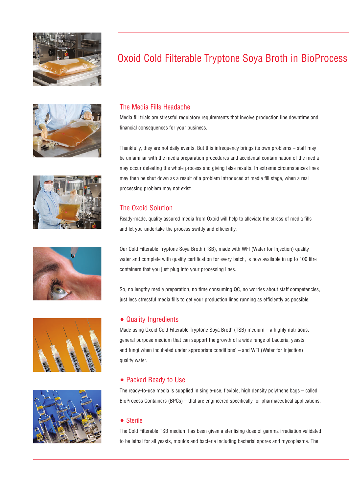











# Oxoid Cold Filterable Tryptone Soya Broth in BioProcess

# The Media Fills Headache

Media fill trials are stressful regulatory requirements that involve production line downtime and financial consequences for your business.

Thankfully, they are not daily events. But this infrequency brings its own problems – staff may be unfamiliar with the media preparation procedures and accidental contamination of the media may occur defeating the whole process and giving false results. In extreme circumstances lines may then be shut down as a result of a problem introduced at media fill stage, when a real processing problem may not exist.

## The Oxoid Solution

Ready-made, quality assured media from Oxoid will help to alleviate the stress of media fills and let you undertake the process swiftly and efficiently.

Our Cold Filterable Tryptone Soya Broth (TSB), made with WFI (Water for Injection) quality water and complete with quality certification for every batch, is now available in up to 100 litre containers that you just plug into your processing lines.

So, no lengthy media preparation, no time consuming QC, no worries about staff competencies, just less stressful media fills to get your production lines running as efficiently as possible.

#### • Quality Ingredients

Made using Oxoid Cold Filterable Tryptone Soya Broth (TSB) medium – a highly nutritious, general purpose medium that can support the growth of a wide range of bacteria, yeasts and fungi when incubated under appropriate conditions<sup> $1$ </sup> – and WFI (Water for Injection) quality water.

#### • Packed Ready to Use

The ready-to-use media is supplied in single-use, flexible, high density polythene bags – called BioProcess Containers (BPCs) – that are engineered specifically for pharmaceutical applications.

#### • Sterile

The Cold Filterable TSB medium has been given a sterilising dose of gamma irradiation validated to be lethal for all yeasts, moulds and bacteria including bacterial spores and mycoplasma. The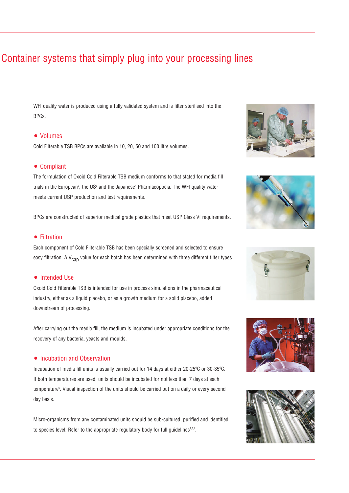# Container systems that simply plug into your processing lines

WFI quality water is produced using a fully validated system and is filter sterilised into the BPCs.

#### • Volumes

Cold Filterable TSB BPCs are available in 10, 20, 50 and 100 litre volumes.

#### • Compliant

The formulation of Oxoid Cold Filterable TSB medium conforms to that stated for media fill trials in the European<sup>2</sup>, the US<sup>3</sup> and the Japanese<sup>4</sup> Pharmacopoeia. The WFI quality water meets current USP production and test requirements.

BPCs are constructed of superior medical grade plastics that meet USP Class VI requirements.

#### • Filtration

Each component of Cold Filterable TSB has been specially screened and selected to ensure easy filtration. A  $V_{\text{can}}$  value for each batch has been determined with three different filter types.

#### • Intended Use

Oxoid Cold Filterable TSB is intended for use in process simulations in the pharmaceutical industry, either as a liquid placebo, or as a growth medium for a solid placebo, added downstream of processing.

After carrying out the media fill, the medium is incubated under appropriate conditions for the recovery of any bacteria, yeasts and moulds.

#### • Incubation and Observation

Incubation of media fill units is usually carried out for 14 days at either 20-25ºC or 30-35ºC. If both temperatures are used, units should be incubated for not less than 7 days at each temperature<sup>s</sup>. Visual inspection of the units should be carried out on a daily or every second day basis.

Micro-organisms from any contaminated units should be sub-cultured, purified and identified to species level. Refer to the appropriate regulatory body for full guidelines<sup>2,3,4</sup>.